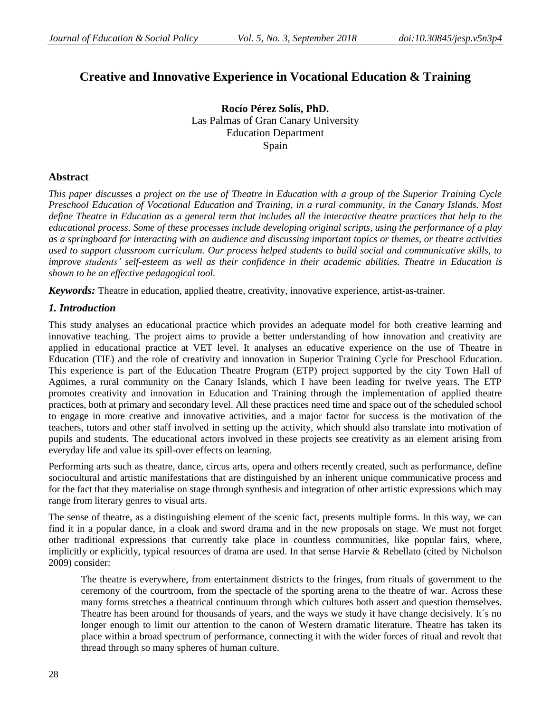# **Creative and Innovative Experience in Vocational Education & Training**

**Rocío Pérez Solís, PhD.** Las Palmas of Gran Canary University Education Department Spain

## **Abstract**

*This paper discusses a project on the use of Theatre in Education with a group of the Superior Training Cycle Preschool Education of Vocational Education and Training, in a rural community, in the Canary Islands. Most define Theatre in Education as a general term that includes all the interactive theatre practices that help to the educational process. Some of these processes include developing original scripts, using the performance of a play as a springboard for interacting with an audience and discussing important topics or themes, or theatre activities used to support classroom curriculum. Our process helped students to build social and communicative skills, to improve students' self-esteem as well as their confidence in their academic abilities. Theatre in Education is shown to be an effective pedagogical tool.*

*Keywords:* Theatre in education, applied theatre, creativity, innovative experience, artist-as-trainer.

## *1. Introduction*

This study analyses an educational practice which provides an adequate model for both creative learning and innovative teaching. The project aims to provide a better understanding of how innovation and creativity are applied in educational practice at VET level. It analyses an educative experience on the use of Theatre in Education (TIE) and the role of creativity and innovation in Superior Training Cycle for Preschool Education. This experience is part of the Education Theatre Program (ETP) project supported by the city Town Hall of Agüimes, a rural community on the Canary Islands, which I have been leading for twelve years. The ETP promotes creativity and innovation in Education and Training through the implementation of applied theatre practices, both at primary and secondary level. All these practices need time and space out of the scheduled school to engage in more creative and innovative activities, and a major factor for success is the motivation of the teachers, tutors and other staff involved in setting up the activity, which should also translate into motivation of pupils and students. The educational actors involved in these projects see creativity as an element arising from everyday life and value its spill-over effects on learning.

Performing arts such as theatre, dance, circus arts, opera and others recently created, such as performance, define sociocultural and artistic manifestations that are distinguished by an inherent unique communicative process and for the fact that they materialise on stage through synthesis and integration of other artistic expressions which may range from literary genres to visual arts.

The sense of theatre, as a distinguishing element of the scenic fact, presents multiple forms. In this way, we can find it in a popular dance, in a cloak and sword drama and in the new proposals on stage. We must not forget other traditional expressions that currently take place in countless communities, like popular fairs, where, implicitly or explicitly, typical resources of drama are used. In that sense Harvie & Rebellato (cited by Nicholson 2009) consider:

The theatre is everywhere, from entertainment districts to the fringes, from rituals of government to the ceremony of the courtroom, from the spectacle of the sporting arena to the theatre of war. Across these many forms stretches a theatrical continuum through which cultures both assert and question themselves. Theatre has been around for thousands of years, and the ways we study it have change decisively. It´s no longer enough to limit our attention to the canon of Western dramatic literature. Theatre has taken its place within a broad spectrum of performance, connecting it with the wider forces of ritual and revolt that thread through so many spheres of human culture.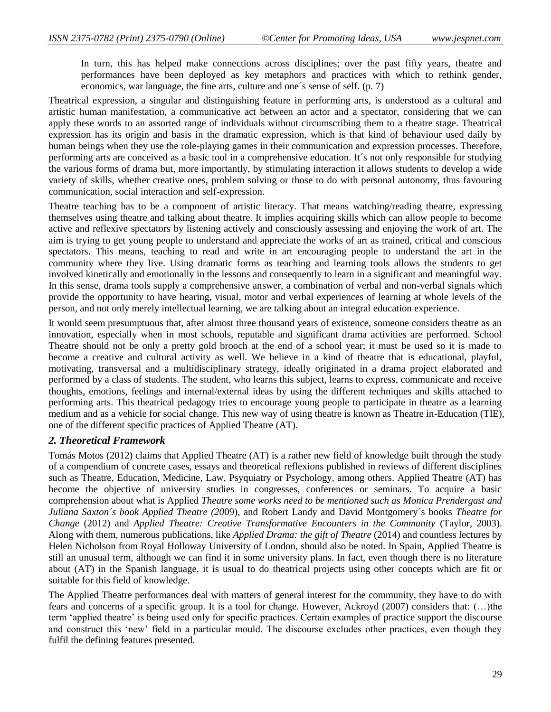In turn, this has helped make connections across disciplines; over the past fifty years, theatre and performances have been deployed as key metaphors and practices with which to rethink gender, economics, war language, the fine arts, culture and one´s sense of self. (p. 7)

Theatrical expression, a singular and distinguishing feature in performing arts, is understood as a cultural and artistic human manifestation, a communicative act between an actor and a spectator, considering that we can apply these words to an assorted range of individuals without circumscribing them to a theatre stage. Theatrical expression has its origin and basis in the dramatic expression, which is that kind of behaviour used daily by human beings when they use the role-playing games in their communication and expression processes. Therefore, performing arts are conceived as a basic tool in a comprehensive education. It´s not only responsible for studying the various forms of drama but, more importantly, by stimulating interaction it allows students to develop a wide variety of skills, whether creative ones, problem solving or those to do with personal autonomy, thus favouring communication, social interaction and self-expression.

Theatre teaching has to be a component of artistic literacy. That means watching/reading theatre, expressing themselves using theatre and talking about theatre. It implies acquiring skills which can allow people to become active and reflexive spectators by listening actively and consciously assessing and enjoying the work of art. The aim is trying to get young people to understand and appreciate the works of art as trained, critical and conscious spectators. This means, teaching to read and write in art encouraging people to understand the art in the community where they live. Using dramatic forms as teaching and learning tools allows the students to get involved kinetically and emotionally in the lessons and consequently to learn in a significant and meaningful way. In this sense, drama tools supply a comprehensive answer, a combination of verbal and non-verbal signals which provide the opportunity to have hearing, visual, motor and verbal experiences of learning at whole levels of the person, and not only merely intellectual learning, we are talking about an integral education experience.

It would seem presumptuous that, after almost three thousand years of existence, someone considers theatre as an innovation, especially when in most schools, reputable and significant drama activities are performed. School Theatre should not be only a pretty gold brooch at the end of a school year; it must be used so it is made to become a creative and cultural activity as well. We believe in a kind of theatre that is educational, playful, motivating, transversal and a multidisciplinary strategy, ideally originated in a drama project elaborated and performed by a class of students. The student, who learns this subject, learns to express, communicate and receive thoughts, emotions, feelings and internal/external ideas by using the different techniques and skills attached to performing arts. This theatrical pedagogy tries to encourage young people to participate in theatre as a learning medium and as a vehicle for social change. This new way of using theatre is known as Theatre in-Education (TIE), one of the different specific practices of Applied Theatre (AT).

#### *2. Theoretical Framework*

Tomás Motos (2012) claims that Applied Theatre (AT) is a rather new field of knowledge built through the study of a compendium of concrete cases, essays and theoretical reflexions published in reviews of different disciplines such as Theatre, Education, Medicine, Law, Psyquiatry or Psychology, among others. Applied Theatre (AT) has become the objective of university studies in congresses, conferences or seminars. To acquire a basic comprehension about what is Applied *Theatre some works need to be mentioned such as Monica Prendergast and Juliana Saxton´s book Applied Theatre (20*09), and Robert Landy and David Montgomery´s books *Theatre for Change* (2012) and *Applied Theatre: Creative Transformative Encounters in the Community* (Taylor, 2003). Along with them, numerous publications, like *Applied Drama: the gift of Theatre* (2014) and countless lectures by Helen Nicholson from Royal Holloway University of London, should also be noted. In Spain, Applied Theatre is still an unusual term, although we can find it in some university plans. In fact, even though there is no literature about (AT) in the Spanish language, it is usual to do theatrical projects using other concepts which are fit or suitable for this field of knowledge.

The Applied Theatre performances deal with matters of general interest for the community, they have to do with fears and concerns of a specific group. It is a tool for change. However, Ackroyd (2007) considers that: (…)the term 'applied theatre' is being used only for specific practices. Certain examples of practice support the discourse and construct this 'new' field in a particular mould. The discourse excludes other practices, even though they fulfil the defining features presented.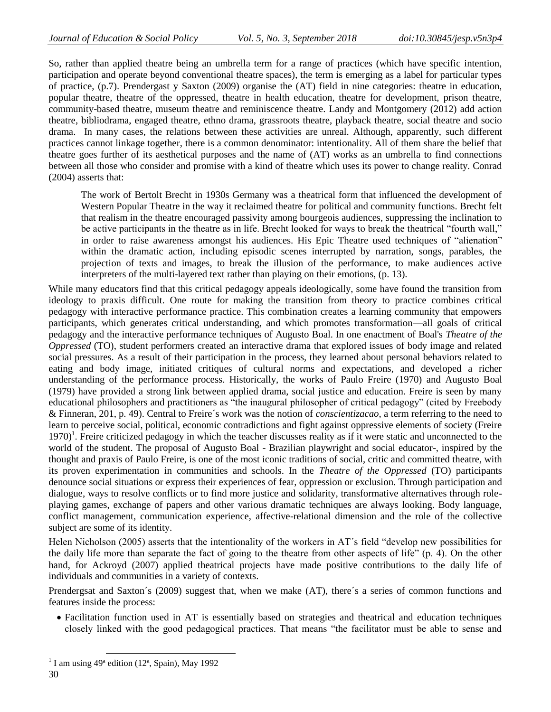So, rather than applied theatre being an umbrella term for a range of practices (which have specific intention, participation and operate beyond conventional theatre spaces), the term is emerging as a label for particular types of practice, (p.7). Prendergast y Saxton (2009) organise the (AT) field in nine categories: theatre in education, popular theatre, theatre of the oppressed, theatre in health education, theatre for development, prison theatre, community-based theatre, museum theatre and reminiscence theatre. Landy and Montgomery (2012) add action theatre, bibliodrama, engaged theatre, ethno drama, grassroots theatre, playback theatre, social theatre and socio drama. In many cases, the relations between these activities are unreal. Although, apparently, such different practices cannot linkage together, there is a common denominator: intentionality. All of them share the belief that theatre goes further of its aesthetical purposes and the name of (AT) works as an umbrella to find connections between all those who consider and promise with a kind of theatre which uses its power to change reality. Conrad (2004) asserts that:

The work of Bertolt Brecht in 1930s Germany was a theatrical form that influenced the development of Western Popular Theatre in the way it reclaimed theatre for political and community functions. Brecht felt that realism in the theatre encouraged passivity among bourgeois audiences, suppressing the inclination to be active participants in the theatre as in life. Brecht looked for ways to break the theatrical "fourth wall," in order to raise awareness amongst his audiences. His Epic Theatre used techniques of "alienation" within the dramatic action, including episodic scenes interrupted by narration, songs, parables, the projection of texts and images, to break the illusion of the performance, to make audiences active interpreters of the multi-layered text rather than playing on their emotions, (p. 13).

While many educators find that this critical pedagogy appeals ideologically, some have found the transition from ideology to praxis difficult. One route for making the transition from theory to practice combines critical pedagogy with interactive performance practice. This combination creates a learning community that empowers participants, which generates critical understanding, and which promotes transformation—all goals of critical pedagogy and the interactive performance techniques of Augusto Boal. In one enactment of Boal's *Theatre of the Oppressed* (TO), student performers created an interactive drama that explored issues of body image and related social pressures. As a result of their participation in the process, they learned about personal behaviors related to eating and body image, initiated critiques of cultural norms and expectations, and developed a richer understanding of the performance process. Historically, the works of Paulo Freire (1970) and Augusto Boal (1979) have provided a strong link between applied drama, social justice and education. Freire is seen by many educational philosophers and practitioners as "the inaugural philosopher of critical pedagogy" (cited by Freebody & Finneran, 201, p. 49). Central to Freire´s work was the notion of *conscientizacao*, a term referring to the need to learn to perceive social, political, economic contradictions and fight against oppressive elements of society (Freire  $1970$ <sup>1</sup>. Freire criticized pedagogy in which the teacher discusses reality as if it were static and unconnected to the world of the student. The proposal of Augusto Boal - Brazilian playwright and social educator-, inspired by the thought and praxis of Paulo Freire, is one of the most iconic traditions of social, critic and committed theatre, with its proven experimentation in communities and schools. In the *Theatre of the Oppressed* (TO) participants denounce social situations or express their experiences of fear, oppression or exclusion. Through participation and dialogue, ways to resolve conflicts or to find more justice and solidarity, transformative alternatives through roleplaying games, exchange of papers and other various dramatic techniques are always looking. Body language, conflict management, communication experience, affective-relational dimension and the role of the collective subject are some of its identity.

Helen Nicholson (2005) asserts that the intentionality of the workers in  $AT's$  field "develop new possibilities for the daily life more than separate the fact of going to the theatre from other aspects of life" (p. 4). On the other hand, for Ackroyd (2007) applied theatrical projects have made positive contributions to the daily life of individuals and communities in a variety of contexts.

Prendergsat and Saxton's (2009) suggest that, when we make (AT), there's a series of common functions and features inside the process:

 Facilitation function used in AT is essentially based on strategies and theatrical and education techniques closely linked with the good pedagogical practices. That means "the facilitator must be able to sense and

l

<sup>&</sup>lt;sup>1</sup> I am using  $49^a$  edition (12<sup>a</sup>, Spain), May 1992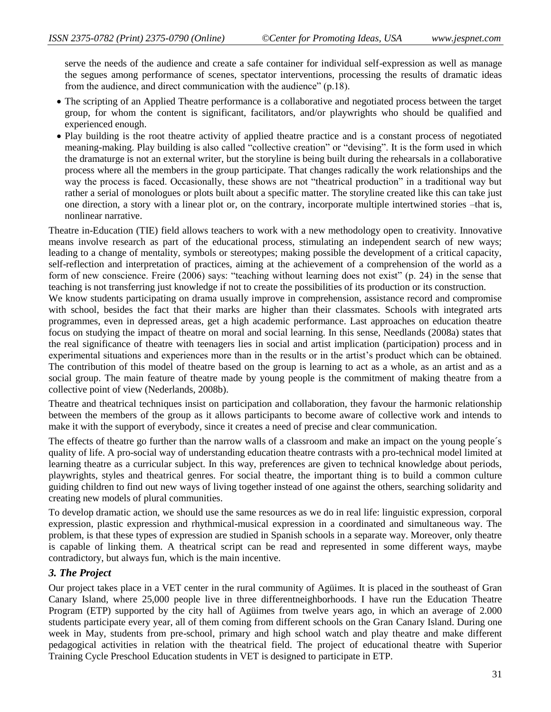serve the needs of the audience and create a safe container for individual self-expression as well as manage the segues among performance of scenes, spectator interventions, processing the results of dramatic ideas from the audience, and direct communication with the audience" (p.18).

- The scripting of an Applied Theatre performance is a collaborative and negotiated process between the target group, for whom the content is significant, facilitators, and/or playwrights who should be qualified and experienced enough.
- Play building is the root theatre activity of applied theatre practice and is a constant process of negotiated meaning-making. Play building is also called "collective creation" or "devising". It is the form used in which the dramaturge is not an external writer, but the storyline is being built during the rehearsals in a collaborative process where all the members in the group participate. That changes radically the work relationships and the way the process is faced. Occasionally, these shows are not "theatrical production" in a traditional way but rather a serial of monologues or plots built about a specific matter. The storyline created like this can take just one direction, a story with a linear plot or, on the contrary, incorporate multiple intertwined stories –that is, nonlinear narrative.

Theatre in-Education (TIE) field allows teachers to work with a new methodology open to creativity. Innovative means involve research as part of the educational process, stimulating an independent search of new ways; leading to a change of mentality, symbols or stereotypes; making possible the development of a critical capacity, self-reflection and interpretation of practices, aiming at the achievement of a comprehension of the world as a form of new conscience. Freire (2006) says: "teaching without learning does not exist" (p. 24) in the sense that teaching is not transferring just knowledge if not to create the possibilities of its production or its construction.

We know students participating on drama usually improve in comprehension, assistance record and compromise with school, besides the fact that their marks are higher than their classmates. Schools with integrated arts programmes, even in depressed areas, get a high academic performance. Last approaches on education theatre focus on studying the impact of theatre on moral and social learning. In this sense, Needlands (2008a) states that the real significance of theatre with teenagers lies in social and artist implication (participation) process and in experimental situations and experiences more than in the results or in the artist's product which can be obtained. The contribution of this model of theatre based on the group is learning to act as a whole, as an artist and as a social group. The main feature of theatre made by young people is the commitment of making theatre from a collective point of view (Nederlands, 2008b).

Theatre and theatrical techniques insist on participation and collaboration, they favour the harmonic relationship between the members of the group as it allows participants to become aware of collective work and intends to make it with the support of everybody, since it creates a need of precise and clear communication.

The effects of theatre go further than the narrow walls of a classroom and make an impact on the young people´s quality of life. A pro-social way of understanding education theatre contrasts with a pro-technical model limited at learning theatre as a curricular subject. In this way, preferences are given to technical knowledge about periods, playwrights, styles and theatrical genres. For social theatre, the important thing is to build a common culture guiding children to find out new ways of living together instead of one against the others, searching solidarity and creating new models of plural communities.

To develop dramatic action, we should use the same resources as we do in real life: linguistic expression, corporal expression, plastic expression and rhythmical-musical expression in a coordinated and simultaneous way. The problem, is that these types of expression are studied in Spanish schools in a separate way. Moreover, only theatre is capable of linking them. A theatrical script can be read and represented in some different ways, maybe contradictory, but always fun, which is the main incentive.

## *3. The Project*

Our project takes place in a VET center in the rural community of Agüimes. It is placed in the southeast of Gran Canary Island, where 25,000 people live in three differentneighborhoods. I have run the Education Theatre Program (ETP) supported by the city hall of Agüimes from twelve years ago, in which an average of 2.000 students participate every year, all of them coming from different schools on the Gran Canary Island. During one week in May, students from pre-school, primary and high school watch and play theatre and make different pedagogical activities in relation with the theatrical field. The project of educational theatre with Superior Training Cycle Preschool Education students in VET is designed to participate in ETP.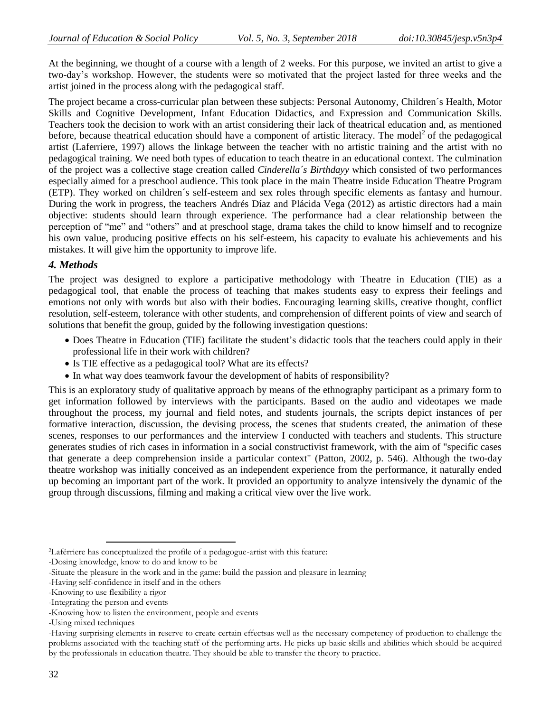At the beginning, we thought of a course with a length of 2 weeks. For this purpose, we invited an artist to give a two-day's workshop. However, the students were so motivated that the project lasted for three weeks and the artist joined in the process along with the pedagogical staff.

The project became a cross-curricular plan between these subjects: Personal Autonomy, Children´s Health, Motor Skills and Cognitive Development, Infant Education Didactics, and Expression and Communication Skills. Teachers took the decision to work with an artist considering their lack of theatrical education and, as mentioned before, because theatrical education should have a component of artistic literacy. The model<sup>2</sup> of the pedagogical artist (Laferriere, 1997) allows the linkage between the teacher with no artistic training and the artist with no pedagogical training. We need both types of education to teach theatre in an educational context. The culmination of the project was a collective stage creation called *Cinderella´s Birthdayy* which consisted of two performances especially aimed for a preschool audience. This took place in the main Theatre inside Education Theatre Program (ETP). They worked on children´s self-esteem and sex roles through specific elements as fantasy and humour. During the work in progress, the teachers Andrés Díaz and Plácida Vega (2012) as artistic directors had a main objective: students should learn through experience. The performance had a clear relationship between the perception of "me" and "others" and at preschool stage, drama takes the child to know himself and to recognize his own value, producing positive effects on his self-esteem, his capacity to evaluate his achievements and his mistakes. It will give him the opportunity to improve life.

## *4. Methods*

The project was designed to explore a participative methodology with Theatre in Education (TIE) as a pedagogical tool, that enable the process of teaching that makes students easy to express their feelings and emotions not only with words but also with their bodies. Encouraging learning skills, creative thought, conflict resolution, self-esteem, tolerance with other students, and comprehension of different points of view and search of solutions that benefit the group, guided by the following investigation questions:

- Does Theatre in Education (TIE) facilitate the student's didactic tools that the teachers could apply in their professional life in their work with children?
- Is TIE effective as a pedagogical tool? What are its effects?
- In what way does teamwork favour the development of habits of responsibility?

This is an exploratory study of qualitative approach by means of the ethnography participant as a primary form to get information followed by interviews with the participants. Based on the audio and videotapes we made throughout the process, my journal and field notes, and students journals, the scripts depict instances of per formative interaction, discussion, the devising process, the scenes that students created, the animation of these scenes, responses to our performances and the interview I conducted with teachers and students. This structure generates studies of rich cases in information in a social constructivist framework, with the aim of "specific cases that generate a deep comprehension inside a particular context" (Patton, 2002, p. 546). Although the two-day theatre workshop was initially conceived as an independent experience from the performance, it naturally ended up becoming an important part of the work. It provided an opportunity to analyze intensively the dynamic of the group through discussions, filming and making a critical view over the live work.

 $\overline{a}$ 

<sup>2</sup>Laférriere has conceptualized the profile of a pedagogue-artist with this feature:

<sup>-</sup>Dosing knowledge, know to do and know to be

<sup>-</sup>Situate the pleasure in the work and in the game: build the passion and pleasure in learning

<sup>-</sup>Having self-confidence in itself and in the others

<sup>-</sup>Knowing to use flexibility a rigor

<sup>-</sup>Integrating the person and events

<sup>-</sup>Knowing how to listen the environment, people and events

<sup>-</sup>Using mixed techniques

<sup>-</sup>Having surprising elements in reserve to create certain effectsas well as the necessary competency of production to challenge the problems associated with the teaching staff of the performing arts. He picks up basic skills and abilities which should be acquired by the professionals in education theatre. They should be able to transfer the theory to practice.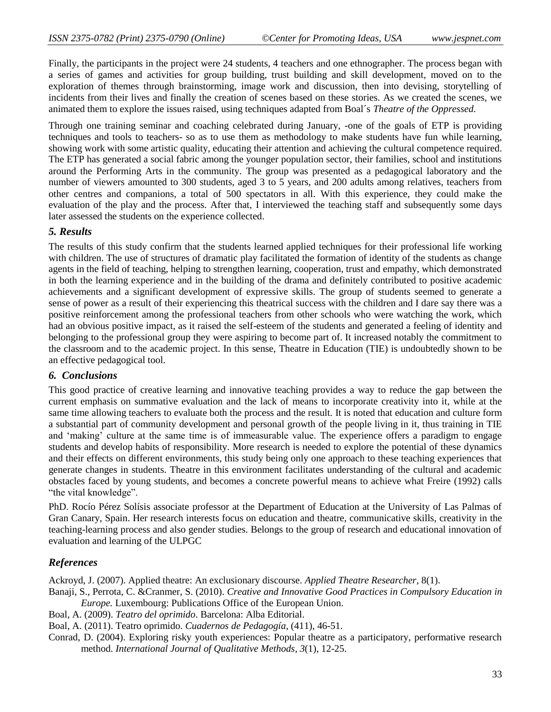Finally, the participants in the project were 24 students, 4 teachers and one ethnographer. The process began with a series of games and activities for group building, trust building and skill development, moved on to the exploration of themes through brainstorming, image work and discussion, then into devising, storytelling of incidents from their lives and finally the creation of scenes based on these stories. As we created the scenes, we animated them to explore the issues raised, using techniques adapted from Boal´s *Theatre of the Oppressed.* 

Through one training seminar and coaching celebrated during January, *-*one of the goals of ETP is providing techniques and tools to teachers- so as to use them as methodology to make students have fun while learning, showing work with some artistic quality, educating their attention and achieving the cultural competence required. The ETP has generated a social fabric among the younger population sector, their families, school and institutions around the Performing Arts in the community. The group was presented as a pedagogical laboratory and the number of viewers amounted to 300 students, aged 3 to 5 years, and 200 adults among relatives, teachers from other centres and companions, a total of 500 spectators in all. With this experience, they could make the evaluation of the play and the process. After that, I interviewed the teaching staff and subsequently some days later assessed the students on the experience collected.

## *5. Results*

The results of this study confirm that the students learned applied techniques for their professional life working with children. The use of structures of dramatic play facilitated the formation of identity of the students as change agents in the field of teaching, helping to strengthen learning, cooperation, trust and empathy, which demonstrated in both the learning experience and in the building of the drama and definitely contributed to positive academic achievements and a significant development of expressive skills. The group of students seemed to generate a sense of power as a result of their experiencing this theatrical success with the children and I dare say there was a positive reinforcement among the professional teachers from other schools who were watching the work, which had an obvious positive impact, as it raised the self-esteem of the students and generated a feeling of identity and belonging to the professional group they were aspiring to become part of. It increased notably the commitment to the classroom and to the academic project. In this sense, Theatre in Education (TIE) is undoubtedly shown to be an effective pedagogical tool.

## *6. Conclusions*

This good practice of creative learning and innovative teaching provides a way to reduce the gap between the current emphasis on summative evaluation and the lack of means to incorporate creativity into it, while at the same time allowing teachers to evaluate both the process and the result. It is noted that education and culture form a substantial part of community development and personal growth of the people living in it, thus training in TIE and 'making' culture at the same time is of immeasurable value. The experience offers a paradigm to engage students and develop habits of responsibility. More research is needed to explore the potential of these dynamics and their effects on different environments, this study being only one approach to these teaching experiences that generate changes in students. Theatre in this environment facilitates understanding of the cultural and academic obstacles faced by young students, and becomes a concrete powerful means to achieve what Freire (1992) calls "the vital knowledge".

PhD. Rocío Pérez Solísis associate professor at the Department of Education at the University of Las Palmas of Gran Canary, Spain. Her research interests focus on education and theatre, communicative skills, creativity in the teaching-learning process and also gender studies. Belongs to the group of research and educational innovation of evaluation and learning of the ULPGC

## *References*

Ackroyd, J. (2007). Applied theatre: An exclusionary discourse. *Applied Theatre Researcher*, 8(1).

- Banaji, S., Perrota, C. &Cranmer, S. (2010). *Creative and Innovative Good Practices in Compulsory Education in Europe.* Luxembourg: Publications Office of the European Union.
- Boal, A. (2009). *Teatro del oprimido*. Barcelona: Alba Editorial.

Boal, A. (2011). Teatro oprimido. *Cuadernos de Pedagogía*, (411), 46-51.

Conrad, D. (2004). Exploring risky youth experiences: Popular theatre as a participatory, performative research method. *International Journal of Qualitative Methods*, *3*(1), 12-25.